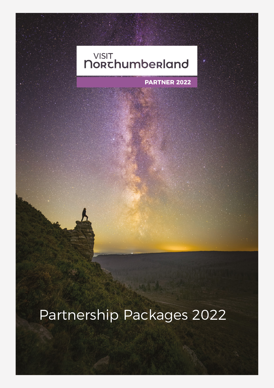## VISIT<br>**NORChumberland**

**PARTNER 2022**

### Partnership Packages 2022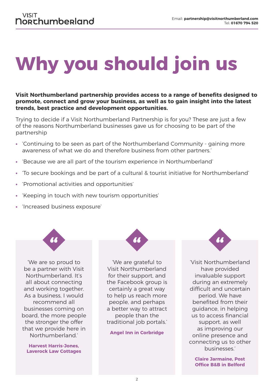# **Why you should join us**

**Visit Northumberland partnership provides access to a range of benefits designed to promote, connect and grow your business, as well as to gain insight into the latest trends, best practice and development opportunities.**

Trying to decide if a Visit Northumberland Partnership is for you? These are just a few of the reasons Northumberland businesses gave us for choosing to be part of the partnership

- **•** 'Continuing to be seen as part of the Northumberland Community gaining more awareness of what we do and therefore business from other partners.'
- **•** 'Because we are all part of the tourism experience in Northumberland'
- **•** 'To secure bookings and be part of a cultural & tourist initiative for Northumberland'
- **•** 'Promotional activities and opportunities'
- **•** 'Keeping in touch with new tourism opportunities'
- **•** 'Increased business exposure'



'We are so proud to be a partner with Visit Northumberland. It's all about connecting and working together. As a business, I would recommend all businesses coming on board, the more people the stronger the offer that we provide here in Northumberland.'

**Harvest Harris-Jones, Laverock Law Cottages**



'We are grateful to Visit Northumberland for their support, and the Facebook group is certainly a great way to help us reach more people, and perhaps a better way to attract people than the traditional job portals.'

**Angel Inn in Corbridge**



'Visit Northumberland have provided invaluable support during an extremely difficult and uncertain period. We have benefited from their guidance, in helping us to access financial support, as well as improving our online presence and connecting us to other businesses.'

**Claire Jarmaine, Post Office B&B in Belford**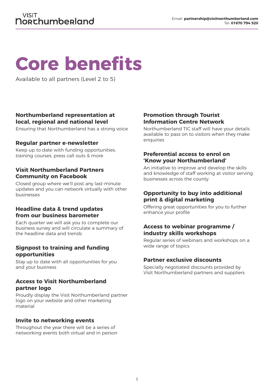### **Core benefits**

Available to all partners (Level 2 to 5)

#### **Northumberland representation at local, regional and national level**

Ensuring that Northumberland has a strong voice

#### **Regular partner e-newsletter**

Keep up to date with funding opportunities, training courses, press call outs & more

#### **Visit Northumberland Partners Community on Facebook**

Closed group where we'll post any last-minute updates and you can network virtually with other businesses

#### **Headline data & trend updates from our business barometer**

Each quarter we will ask you to complete our business survey and will circulate a summary of the headline data and trends

#### **Signpost to training and funding opportunities**

Stay up to date with all opportunities for you and your business

#### **Access to Visit Northumberland partner logo**

Proudly display the Visit Northumberland partner logo on your website and other marketing material

#### **Invite to networking events**

Throughout the year there will be a series of networking events both virtual and in person

#### **Promotion through Tourist Information Centre Network**

Northumberland TIC staff will have your details available to pass on to visitors when they make enquiries

#### **Preferential access to enrol on 'Know your Northumberland'**

An initiative to improve and develop the skills and knowledge of staff working at visitor serving businesses across the county

#### **Opportunity to buy into additional print & digital marketing**

Offering great opportunities for you to further enhance your profile

#### **Access to webinar programme / industry skills workshops**

Regular series of webinars and workshops on a wide range of topics

#### **Partner exclusive discounts**

Specially negotiated discounts provided by Visit Northumberland partners and suppliers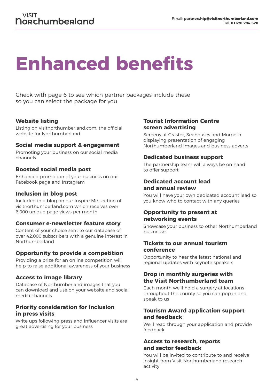### **Enhanced benefits**

Check with page 6 to see which partner packages include these so you can select the package for you

#### **Website listing**

Listing on visitnorthumberland.com, the official website for Northumberland

#### **Social media support & engagement**

Promoting your business on our social media channels

#### **Boosted social media post**

Enhanced promotion of your business on our Facebook page and Instagram

#### **Inclusion in blog post**

Included in a blog on our Inspire Me section of visitnorthumberland.com which receives over 6,000 unique page views per month

#### **Consumer e-newsletter feature story**

Content of your choice sent to our database of over 42,000 subscribers with a genuine interest in Northumberland

#### **Opportunity to provide a competition**

Providing a prize for an online competition will help to raise additional awareness of your business

#### **Access to image library**

Database of Northumberland images that you can download and use on your website and social media channels

#### **Priority consideration for inclusion in press visits**

Write ups following press and influencer visits are great advertising for your business

#### **Tourist Information Centre screen advertising**

Screens at Craster, Seahouses and Morpeth displaying presentation of engaging Northumberland images and business adverts

#### **Dedicated business support**

The partnership team will always be on hand to offer support

#### **Dedicated account lead and annual review**

You will have your own dedicated account lead so you know who to contact with any queries

#### **Opportunity to present at networking events**

Showcase your business to other Northumberland businesses

#### **Tickets to our annual tourism conference**

Opportunity to hear the latest national and regional updates with keynote speakers

#### **Drop in monthly surgeries with the Visit Northumberland team**

Each month we'll hold a surgery at locations throughout the county so you can pop in and speak to us

#### **Tourism Award application support and feedback**

We'll read through your application and provide feedback

#### **Access to research, reports and sector feedback**

You will be invited to contribute to and receive insight from Visit Northumberland research activity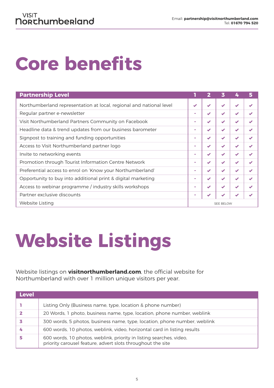## **Core benefits**

| <b>Partnership Level</b>                                            |                  |   | 3                        | 4                        |   |
|---------------------------------------------------------------------|------------------|---|--------------------------|--------------------------|---|
| Northumberland representation at local, regional and national level |                  |   | $\overline{\mathscr{L}}$ | $\overline{\mathscr{L}}$ |   |
| Regular partner e-newsletter                                        |                  |   | $\overline{\mathscr{L}}$ | $\checkmark$             |   |
| Visit Northumberland Partners Community on Facebook                 |                  |   | $\checkmark$             | $\checkmark$             |   |
| Headline data & trend updates from our business barometer           |                  |   | $\blacktriangleright$    | ✔                        |   |
| Signpost to training and funding opportunities                      |                  |   | $\overline{\mathscr{L}}$ | ✔                        | ✔ |
| Access to Visit Northumberland partner logo                         |                  |   | $\overline{\mathbf{v}}$  | ✔                        |   |
| Invite to networking events                                         |                  |   | $\overline{\mathscr{L}}$ | $\checkmark$             |   |
| Promotion through Tourist Information Centre Network                |                  |   | $\blacktriangleright$    | $\checkmark$             |   |
| Preferential access to enrol on 'Know your Northumberland'          |                  |   | $\checkmark$             | $\blacktriangledown$     |   |
| Opportunity to buy into additional print & digital marketing        |                  | ✔ | $\checkmark$             | $\checkmark$             |   |
| Access to webinar programme / industry skills workshops             |                  | ✔ | $\blacktriangledown$     | ✔                        |   |
| Partner exclusive discounts                                         |                  |   |                          |                          |   |
| Website Listing                                                     | <b>SEE BELOW</b> |   |                          |                          |   |

### **Website Listings**

Website listings on **visitnorthumberland.com**, the official website for Northumberland with over 1 million unique visitors per year.

| <b>Level</b> |                                                                                                                                    |
|--------------|------------------------------------------------------------------------------------------------------------------------------------|
|              | Listing Only (Business name, type, location & phone number)                                                                        |
|              | 20 Words, 1 photo, business name, type, location, phone number, weblink                                                            |
|              | 300 words, 5 photos, business name, type, location, phone number, weblink                                                          |
|              | 600 words, 10 photos, weblink, video, horizontal card in listing results                                                           |
|              | 600 words, 10 photos, weblink, priority in listing searches, video,<br>priority carousel feature, advert slots throughout the site |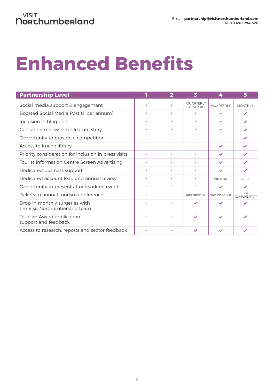## **Enhanced Benefits**

| <b>Partnership Level</b>                                        | $\overline{2}$ | 3                                  | 4              | 5                          |
|-----------------------------------------------------------------|----------------|------------------------------------|----------------|----------------------------|
| Social media support & engagement                               |                | <b>OUARTERLY</b><br><b>RESHARE</b> | QUARTERLY      | <b>MONTHLY</b>             |
| Boosted Social Media Post (1 per annum)                         |                |                                    |                |                            |
| Inclusion in blog post                                          |                |                                    |                | ✔                          |
| Consumer e-newsletter feature story                             |                |                                    |                |                            |
| Opportunity to provide a competition                            |                | $\blacksquare$                     |                | ✔                          |
| Access to image library                                         |                |                                    | ✔              | $\overline{\mathbf{v}}$    |
| Priority consideration for inclusion in press visits            |                |                                    | ✔              |                            |
| Tourist Information Centre Screen Advertising                   |                |                                    |                |                            |
| Dedicated business support                                      |                |                                    |                |                            |
| Dedicated account lead and annual review                        |                |                                    | <b>VIRTUAL</b> | <b>VISIT</b>               |
| Opportunity to present at networking events                     |                |                                    | ✔              | $\overline{\mathscr{L}}$   |
| Tickets to annual tourism conference                            |                | PREFERENTIAL                       | 50% DISCOUNT   | 2X<br><b>COMPLIMENTARY</b> |
| Drop in monthly surgeries with<br>the Visit Northumberland team |                |                                    |                |                            |
| Tourism Award application<br>support and feedback               |                |                                    |                |                            |
| Access to research, reports and sector feedback                 |                |                                    |                |                            |